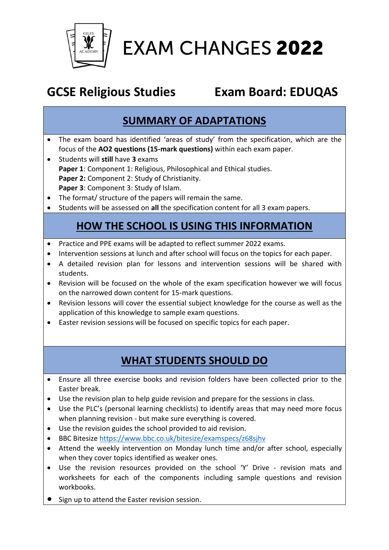

# **EXAM CHANGES 2022**

# **GCSE Religious Studies Exam Board: EDUQAS**

#### **SUMMARY OF ADAPTATIONS**

- The exam board has identified 'areas of study' from the specification, which are the focus of the **AO2 questions (15-mark questions)** within each exam paper.
- Students will **still** have **3** exams **Paper 1**: Component 1: Religious, Philosophical and Ethical studies. **Paper 2:** Component 2: Study of Christianity. **Paper 3**: Component 3: Study of Islam.
- The format/ structure of the papers will remain the same.
- Students will be assessed on **all** the specification content for all 3 exam papers.

#### **HOW THE SCHOOL IS USING THIS INFORMATION**

- Practice and PPE exams will be adapted to reflect summer 2022 exams.
- Intervention sessions at lunch and after school will focus on the topics for each paper.
- A detailed revision plan for lessons and intervention sessions will be shared with students.
- Revision will be focused on the whole of the exam specification however we will focus on the narrowed down content for 15-mark questions.
- Revision lessons will cover the essential subject knowledge for the course as well as the application of this knowledge to sample exam questions.
- Easter revision sessions will be focused on specific topics for each paper.

#### **WHAT STUDENTS SHOULD DO**

- Ensure all three exercise books and revision folders have been collected prior to the Easter break.
- Use the revision plan to help guide revision and prepare for the sessions in class.
- Use the PLC's (personal learning checklists) to identify areas that may need more focus when planning revision - but make sure everything is covered.
- Use the revision guides the school provided to aid revision.
- BBC Bitesize<https://www.bbc.co.uk/bitesize/examspecs/z68sjhv>
- Attend the weekly intervention on Monday lunch time and/or after school, especially when they cover topics identified as weaker ones.
- Use the revision resources provided on the school 'Y' Drive revision mats and worksheets for each of the components including sample questions and revision workbooks.
- Sign up to attend the Easter revision session.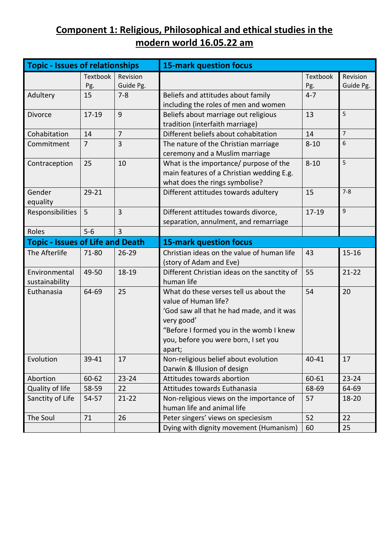#### **Component 1: Religious, Philosophical and ethical studies in the modern world 16.05.22 am**

| <b>Topic - Issues of relationships</b>  |                     |                | <b>15-mark question focus</b>                  |           |                |  |
|-----------------------------------------|---------------------|----------------|------------------------------------------------|-----------|----------------|--|
|                                         | Textbook            | Revision       |                                                | Textbook  | Revision       |  |
|                                         | Pg.                 | Guide Pg.      |                                                | Pg.       | Guide Pg.      |  |
| Adultery                                | $7 - 8$<br>15       |                | Beliefs and attitudes about family             | $4 - 7$   |                |  |
|                                         |                     |                | including the roles of men and women           |           |                |  |
| <b>Divorce</b>                          | $17 - 19$           | 9              | Beliefs about marriage out religious           | 13        | 5              |  |
|                                         |                     |                | tradition (interfaith marriage)                |           |                |  |
| Cohabitation                            | 14                  | $\overline{7}$ | Different beliefs about cohabitation           | 14        | $\overline{7}$ |  |
| Commitment                              | $\overline{7}$<br>3 |                | The nature of the Christian marriage           | $8 - 10$  | 6              |  |
|                                         |                     |                | ceremony and a Muslim marriage                 |           |                |  |
| Contraception<br>25                     |                     | 10             | What is the importance/ purpose of the         | $8 - 10$  | 5              |  |
|                                         |                     |                | main features of a Christian wedding E.g.      |           |                |  |
|                                         |                     |                | what does the rings symbolise?                 |           |                |  |
| Gender                                  | $29 - 21$           |                | Different attitudes towards adultery           | 15        | $7 - 8$        |  |
| equality                                |                     |                |                                                |           |                |  |
| Responsibilities                        | 5                   | 3              | Different attitudes towards divorce,           | $17 - 19$ | $\mathsf g$    |  |
|                                         |                     |                | separation, annulment, and remarriage          |           |                |  |
| Roles                                   | $5-6$               | $\overline{3}$ |                                                |           |                |  |
| <b>Topic - Issues of Life and Death</b> |                     |                | <b>15-mark question focus</b>                  |           |                |  |
| The Afterlife                           | 71-80               | $26 - 29$      | Christian ideas on the value of human life     | 43        | $15 - 16$      |  |
|                                         |                     |                | (story of Adam and Eve)                        |           |                |  |
| Environmental                           | 49-50               | 18-19          | Different Christian ideas on the sanctity of   | 55        | $21 - 22$      |  |
| sustainability                          |                     |                | human life                                     |           |                |  |
| Euthanasia                              | 64-69               | 25             | What do these verses tell us about the         | 54        | 20             |  |
|                                         |                     |                | value of Human life?                           |           |                |  |
|                                         |                     |                | 'God saw all that he had made, and it was      |           |                |  |
|                                         |                     |                | very good'                                     |           |                |  |
|                                         |                     |                | "Before I formed you in the womb I knew        |           |                |  |
|                                         |                     |                | you, before you were born, I set you           |           |                |  |
|                                         |                     |                | apart;                                         |           |                |  |
| Evolution                               | 39-41               | 17             | Non-religious belief about evolution           | 40-41     | 17             |  |
|                                         |                     |                | Darwin & Illusion of design                    |           |                |  |
| Abortion                                | 60-62               | $23 - 24$      | Attitudes towards abortion                     | 60-61     | $23 - 24$      |  |
| Quality of life                         | 58-59               | 22             | Attitudes towards Euthanasia                   | 68-69     | 64-69          |  |
| Sanctity of Life                        | 54-57               | $21 - 22$      | Non-religious views on the importance of<br>57 |           | 18-20          |  |
|                                         |                     |                | human life and animal life                     |           |                |  |
| The Soul                                | 71                  | 26             | Peter singers' views on speciesism             | 52        | 22             |  |
|                                         |                     |                | Dying with dignity movement (Humanism)         | 60        | 25             |  |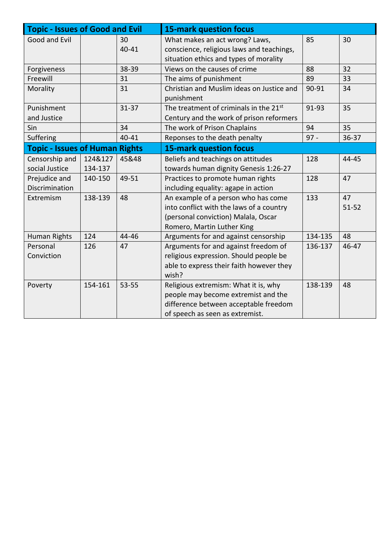| <b>Topic - Issues of Good and Evil</b> |         |           | <b>15-mark question focus</b>                           |         |           |  |
|----------------------------------------|---------|-----------|---------------------------------------------------------|---------|-----------|--|
| Good and Evil<br>30                    |         |           | What makes an act wrong? Laws,                          | 85      | 30        |  |
| 40-41                                  |         |           | conscience, religious laws and teachings,               |         |           |  |
|                                        |         |           | situation ethics and types of morality                  |         |           |  |
| Forgiveness                            | 38-39   |           | Views on the causes of crime                            | 88      | 32        |  |
| Freewill                               |         | 31        | The aims of punishment                                  | 89      | 33        |  |
| Morality                               |         | 31        | Christian and Muslim ideas on Justice and<br>punishment | 90-91   | 34        |  |
| Punishment                             |         | $31 - 37$ | The treatment of criminals in the 21st                  | 91-93   | 35        |  |
| and Justice                            |         |           | Century and the work of prison reformers                |         |           |  |
| Sin                                    |         | 34        | The work of Prison Chaplains                            | 94      | 35        |  |
| Suffering                              | 40-41   |           | Reponses to the death penalty                           | $97 -$  | $36 - 37$ |  |
| <b>Topic - Issues of Human Rights</b>  |         |           | <b>15-mark question focus</b>                           |         |           |  |
| Censorship and                         | 124&127 | 45&48     | Beliefs and teachings on attitudes                      | 128     | 44-45     |  |
| social Justice                         | 134-137 |           | towards human dignity Genesis 1:26-27                   |         |           |  |
| Prejudice and                          | 140-150 | 49-51     | Practices to promote human rights                       | 128     | 47        |  |
| Discrimination                         |         |           | including equality: agape in action                     |         |           |  |
| Extremism                              | 138-139 | 48        | An example of a person who has come                     | 133     | 47        |  |
|                                        |         |           | into conflict with the laws of a country                |         | $51 - 52$ |  |
|                                        |         |           | (personal conviction) Malala, Oscar                     |         |           |  |
|                                        |         |           | Romero, Martin Luther King                              |         |           |  |
| Human Rights                           | 124     | 44-46     | Arguments for and against censorship                    | 134-135 | 48        |  |
| Personal                               | 126     | 47        | Arguments for and against freedom of                    | 136-137 | 46-47     |  |
| Conviction                             |         |           | religious expression. Should people be                  |         |           |  |
|                                        |         |           | able to express their faith however they                |         |           |  |
|                                        |         |           | wish?                                                   |         |           |  |
| $53 - 55$<br>154-161<br>Poverty        |         |           | Religious extremism: What it is, why                    | 138-139 | 48        |  |
|                                        |         |           | people may become extremist and the                     |         |           |  |
|                                        |         |           | difference between acceptable freedom                   |         |           |  |
|                                        |         |           | of speech as seen as extremist.                         |         |           |  |